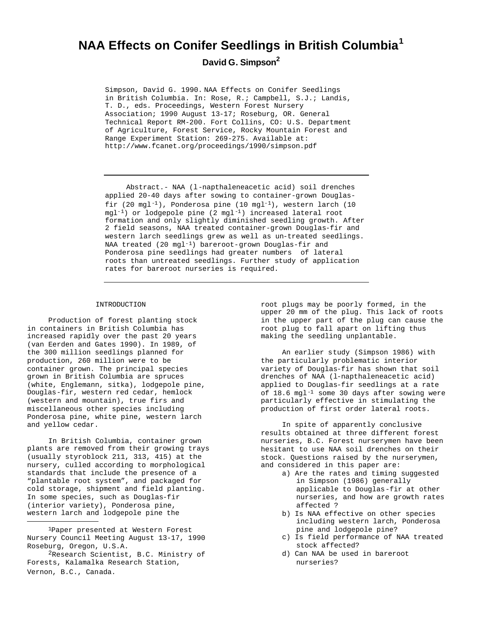# **NAA Effects on Conifer Seedlings in British Columbia<sup>1</sup> David G. Simpson<sup>2</sup>**

Simpson, David G. 1990. NAA Effects on Conifer Seedlings in British Columbia. In: Rose, R.; Campbell, S.J.; Landis, T. D., eds. Proceedings, Western Forest Nursery Association; 1990 August 13-17; Roseburg, OR. General Technical Report RM-200. Fort Collins, CO: U.S. Department of Agriculture, Forest Service, Rocky Mountain Forest and Range Experiment Station: 269-275. Available at: http://www.fcanet.org/proceedings/1990/simpson.pdf

Abstract.- NAA (l-napthaleneacetic acid) soil drenches applied 20-40 days after sowing to container-grown Douglasfir (20 mgl<sup>-1</sup>), Ponderosa pine (10 mgl<sup>-1</sup>), western larch (10 mgl-1) or lodgepole pine (2 mgl-1) increased lateral root formation and only slightly diminished seedling growth. After 2 field seasons, NAA treated container-grown Douglas-fir and western larch seedlings grew as well as un-treated seedlings. NAA treated (20 mgl-1) bareroot-grown Douglas-fir and Ponderosa pine seedlings had greater numbers of lateral roots than untreated seedlings. Further study of application rates for bareroot nurseries is required.

## INTRODUCTION

Production of forest planting stock in containers in British Columbia has increased rapidly over the past 20 years (van Eerden and Gates 1990). In 1989, of the 300 million seedlings planned for production, 260 million were to be container grown. The principal species grown in British Columbia are spruces (white, Englemann, sitka), lodgepole pine, Douglas-fir, western red cedar, hemlock (western and mountain), true firs and miscellaneous other species including Ponderosa pine, white pine, western larch and yellow cedar.

In British Columbia, container grown plants are removed from their growing trays (usually styroblock 211, 313, 415) at the nursery, culled according to morphological standards that include the presence of a "plantable root system", and packaged for cold storage, shipment and field planting. In some species, such as Douglas-fir (interior variety), Ponderosa pine, western larch and lodgepole pine the

root plugs may be poorly formed, in the upper 20 mm of the plug. This lack of roots in the upper part of the plug can cause the root plug to fall apart on lifting thus making the seedling unplantable.

An earlier study (Simpson 1986) with the particularly problematic interior variety of Douglas-fir has shown that soil drenches of NAA (l-napthaleneacetic acid) applied to Douglas-fir seedlings at a rate of 18.6 mgl-1 some 30 days after sowing were particularly effective in stimulating the production of first order lateral roots.

In spite of apparently conclusive results obtained at three different forest nurseries, B.C. Forest nurserymen have been hesitant to use NAA soil drenches on their stock. Questions raised by the nurserymen, and considered in this paper are:

- a) Are the rates and timing suggested in Simpson (1986) generally applicable to Douglas-fir at other nurseries, and how are growth rates affected ?
- b) Is NAA effective on other species including western larch, Ponderosa pine and lodgepole pine?
- c) Is field performance of NAA treated stock affected?
- d) Can NAA be used in bareroot nurseries?

<sup>1</sup>Paper presented at Western Forest Nursery Council Meeting August 13-17, 1990 Roseburg, Oregon, U.S.A.

<sup>2</sup>Research Scientist, B.C. Ministry of Forests, Kalamalka Research Station, Vernon, B.C., Canada.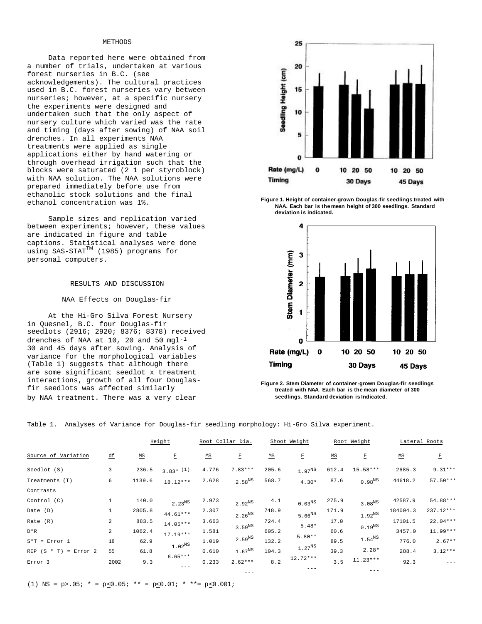## METHODS

Data reported here were obtained from a number of trials, undertaken at various forest nurseries in B.C. (see acknowledgements). The cultural practices used in B.C. forest nurseries vary between nurseries; however, at a specific nursery the experiments were designed and undertaken such that the only aspect of nursery culture which varied was the rate and timing (days after sowing) of NAA soil drenches. In all experiments NAA treatments were applied as single applications either by hand watering or through overhead irrigation such that the blocks were saturated (2 1 per styroblock) with NAA solution. The NAA solutions were prepared immediately before use from ethanolic stock solutions and the final ethanol concentration was 1%.

Sample sizes and replication varied between experiments; however, these values are indicated in figure and table captions. Statistical analyses were done using SAS-STAT<sup>TM</sup> (1985) programs for personal computers.

#### RESULTS AND DISCUSSION

#### NAA Effects on Douglas-fir

At the Hi-Gro Silva Forest Nursery in Quesnel, B.C. four Douglas-fir seedlots (2916; 2920; 8376; 8378) received drenches of NAA at 10, 20 and 50 mgl-1 30 and 45 days after sowing. Analysis of variance for the morphological variables (Table 1) suggests that although there are some significant seedlot x treatment interactions, growth of all four Douglasfir seedlots was affected similarly by NAA treatment. There was a very clear



**Figure 1. Height of container-grown Douglas-fir seedlings treated with NAA. Each bar is the mean height of 300 seedlings. Standard deviation is indicated.**



**Figure 2. Stem Diameter of container-grown Douglas-fir seedlings treated with NAA. Each bar is the mean diameter of 300 seedlings. Standard deviation is Indicated.**

Table 1. Analyses of Variance for Douglas-fir seedling morphology: Hi-Gro Silva experiment.

|                              |                |                           | Height                 |                           | Root Collar Dia.   |                           | Shoot Weight |                           | Root Weight           |                           | Lateral Roots |
|------------------------------|----------------|---------------------------|------------------------|---------------------------|--------------------|---------------------------|--------------|---------------------------|-----------------------|---------------------------|---------------|
| Source of Variation          | ₫f             | $\underline{\mathsf{MS}}$ | E                      | $\underline{\mathsf{MS}}$ | E                  | $\underline{\mathsf{MS}}$ | E            | $\underline{\mathsf{MS}}$ | $\overline{\text{F}}$ | $\underline{\mathsf{MS}}$ | $\mathbf F$   |
| Seedlot (S)                  | 3              | 236.5                     | $3.83*$ <sup>(1)</sup> | 4.776                     | $7.83***$          | 205.6                     | $1.97^{NS}$  | 612.4                     | 15.58***              | 2685.3                    | $9.31***$     |
| Treatments (T)               | 6              | 1139.6                    | $18.12***$             | 2.628                     | $2.58^{NS}$        | 568.7                     | $4.30*$      | 87.6                      | $0.98^{NS}$           | 44618.2                   | $57.50***$    |
| Contrasts                    |                |                           |                        |                           |                    |                           |              |                           |                       |                           |               |
| Control $(C)$                | $1\,$          | 140.0                     | $2.23^{NS}$            | 2.973                     | $2.92^{NS}$        | 4.1                       | $0.03^{NS}$  | 275.9                     | $3.08^{NS}$           | 42587.9                   | 54.88***      |
| Date (D)                     | $\mathbf{1}$   | 2805.8                    | $44.61***$             | 2.307                     | $2.26^{NS}$        | 748.9                     | $5.66^{NS}$  | 171.9                     | $1.92^{NS}$           | 184004.3                  | 237.12***     |
| Rate (R)                     | $\overline{c}$ | 883.5                     | $14.05***$             | 3.663                     |                    | 724.4                     |              | 17.0                      |                       | 17101.5                   | $22.04***$    |
| $D*R$                        | 2              | 1062.4                    |                        | 1.581                     | 3.59 <sup>NS</sup> | 605.2                     | $5.48*$      | 60.6                      | $0.19^{NS}$           | 3457.0                    | $11.99***$    |
| $S*T = Error 1$              | 18             | 62.9                      | $17.19***$             | 1.019                     | $2.59^{NS}$        | 132.2                     | $5.80**$     | 89.5                      | $1.54^{NS}$           | 776.0                     | $2.67**$      |
| REP $(S * T)$<br>$= Error 2$ | 55             | 61.8                      | 1.02 <sup>NS</sup>     | 0.610                     | $1.67^{NS}$        | 104.3                     | $1.27^{NS}$  | 39.3                      | $2.28*$               | 288.4                     | $3.12***$     |
| Error 3                      | 2002           | 9.3                       | $6.65***$              | 0.233                     | $2.62***$          | 8.2                       | $12.72***$   | 3.5                       | $11.23***$            | 92.3                      | $- - -$       |
|                              |                |                           | $- - -$                |                           | $---$              |                           |              |                           | $- - -$               |                           |               |

---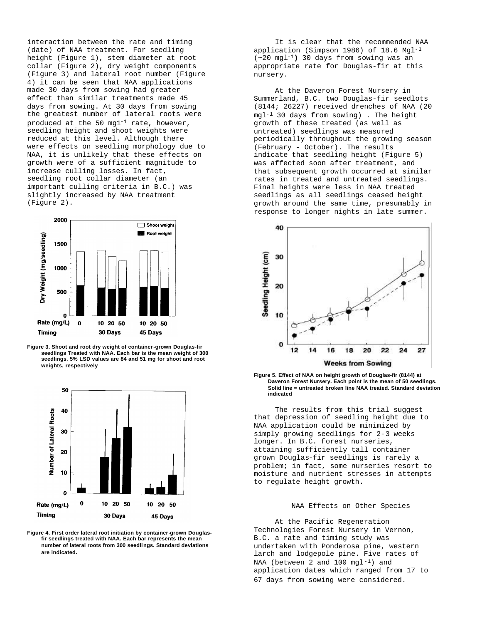interaction between the rate and timing (date) of NAA treatment. For seedling height (Figure 1), stem diameter at root collar (Figure 2), dry weight components (Figure 3) and lateral root number (Figure 4) it can be seen that NAA applications made 30 days from sowing had greater effect than similar treatments made 45 days from sowing. At 30 days from sowing the greatest number of lateral roots were produced at the 50 mq $1^{-1}$  rate, however, seedling height and shoot weights were reduced at this level. Although there were effects on seedling morphology due to NAA, it is unlikely that these effects on growth were of a sufficient magnitude to increase culling losses. In fact, seedling root collar diameter (an important culling criteria in B.C.) was slightly increased by NAA treatment (Figure 2).



**Figure 3. Shoot and root dry weight of container-grown Douglas-fir seedlings Treated with NAA. Each bar is the mean weight of 300 seedlings. 5% LSD values are 84 and 51 mg for shoot and root weights, respectively**



**Figure 4. First order lateral root initiation by container-grown Douglasfir seedlings treated with NAA. Each bar represents the mean number of lateral roots from 300 seedlings. Standard deviations are indicated.** 

It is clear that the recommended NAA application (Simpson 1986) of 18.6 Mgl-1 (~20 mgl-1**)** 30 days from sowing was an appropriate rate for Douglas-fir at this nursery.

At the Daveron Forest Nursery in Summerland, B.C. two Douglas-fir seedlots (8144; 26227) received drenches of NAA (20 mgl-1 30 days from sowing) . The height growth of these treated (as well as untreated) seedlings was measured periodically throughout the growing season (February - October). The results indicate that seedling height (Figure 5) was affected soon after treatment, and that subsequent growth occurred at similar rates in treated and untreated seedlings. Final heights were less in NAA treated seedlings as all seedlings ceased height growth around the same time, presumably in response to longer nights in late summer.





The results from this trial suggest that depression of seedling height due to NAA application could be minimized by simply growing seedlings for 2-3 weeks longer. In B.C. forest nurseries, attaining sufficiently tall container grown Douglas-fir seedlings is rarely a problem; in fact, some nurseries resort to moisture and nutrient stresses in attempts to regulate height growth.

## NAA Effects on Other Species

At the Pacific Regeneration Technologies Forest Nursery in Vernon, B.C. a rate and timing study was undertaken with Ponderosa pine, western larch and lodgepole pine. Five rates of NAA (between 2 and 100 mgl-1) and application dates which ranged from 17 to 67 days from sowing were considered.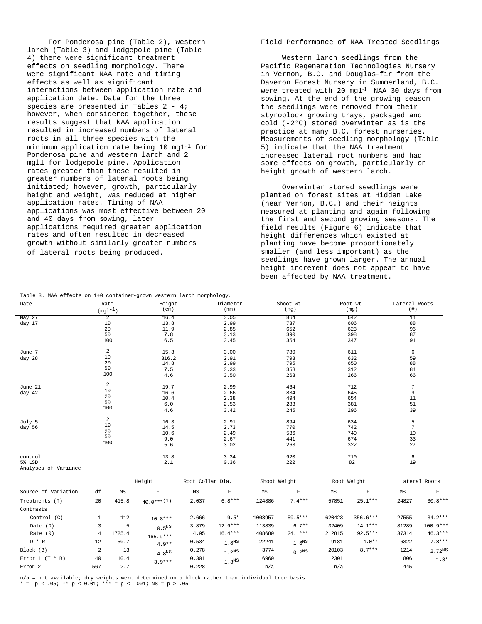For Ponderosa pine (Table 2), western larch (Table 3) and lodgepole pine (Table 4) there were significant treatment effects on seedling morphology. There were significant NAA rate and timing effects as well as significant interactions between application rate and application date. Data for the three species are presented in Tables 2 - 4; however, when considered together, these results suggest that NAA application resulted in increased numbers of lateral roots in all three species with the minimum application rate being 10 mg1-1 for Ponderosa pine and western larch and 2 mgl1 for lodgepole pine. Application rates greater than these resulted in greater numbers of lateral roots being initiated; however, growth, particularly height and weight, was reduced at higher application rates. Timing of NAA applications was most effective between 20 and 40 days from sowing, later applications required greater application rates and often resulted in decreased growth without similarly greater numbers of lateral roots being produced.

## Field Performance of NAA Treated Seedlings

Western larch seedlings from the Pacific Regeneration Technologies Nursery in Vernon, B.C. and Douglas-fir from the Daveron Forest Nursery in Summerland, B.C. were treated with 20 mg1-1 NAA 30 days from sowing. At the end of the growing season the seedlings were removed from their styroblock growing trays, packaged and cold (-2°C) stored overwinter as is the practice at many B.C. forest nurseries. Measurements of seedling morphology (Table 5) indicate that the NAA treatment increased lateral root numbers and had some effects on growth, particularly on height growth of western larch.

Overwinter stored seedlings were planted on forest sites at Hidden Lake (near Vernon, B.C.) and their heights measured at planting and again following the first and second growing seasons. The field results (Figure 6) indicate that height differences which existed at planting have become proportionately smaller (and less important) as the seedlings have grown larger. The annual height increment does not appear to have been affected by NAA treatment.

Root Wt.

Lateral Roots

|                      |     | $(\mathrm{mg1}^{-1})$     | (cm)              |                           | (mm)                |                           | (mg)                  |                           | (mg)        | $(+)$                     |               |
|----------------------|-----|---------------------------|-------------------|---------------------------|---------------------|---------------------------|-----------------------|---------------------------|-------------|---------------------------|---------------|
| May 27               |     | 2                         | 16.4              |                           | 3.05                |                           | 864                   |                           | 642         | 14                        |               |
| day 17               |     | 10                        | 13.8              |                           | 2.99                |                           | 737                   |                           | 606         | 88                        |               |
|                      |     | 20                        | 11.9              |                           | 2.85                |                           | 652                   |                           | 623         | 96                        |               |
|                      |     | 50                        | 7.8               |                           | 3.13                |                           | 390                   |                           | 398         | 87                        |               |
|                      |     | 100                       | 6.5               |                           | 3.45                |                           | 354                   |                           | 347         | 91                        |               |
| June 7               |     | 2                         | 15.3              |                           | 3.00                |                           | 780                   |                           | 611         | 6                         |               |
| day 28               |     | 10                        | 316.2             |                           | 2.91                |                           | 793                   |                           | 632         | 59                        |               |
|                      |     | 20<br>50                  | 14.8              |                           | 2.99                |                           | 795                   |                           | 650         | 88                        |               |
|                      |     | 100                       | 7.5               |                           | 3.33                |                           | 358                   |                           | 312         | 84                        |               |
|                      |     |                           | 4.6               |                           | 3.50                |                           | 263                   |                           | 266         | 66                        |               |
| June 21              |     | $\overline{a}$            | 19.7              |                           | 2.99                |                           | 464                   |                           | 712         | $7\phantom{.0}$           |               |
| day 42               |     | 10<br>20                  | 16.6              |                           | 2.66                |                           | 834                   |                           | 645         | 9                         |               |
|                      |     | 50                        | 10.4              |                           | 2.38                |                           | 494                   |                           | 654         | 11                        |               |
|                      |     | 100                       | 6.0               |                           | 2.53                |                           | 283                   |                           | 381         | 51                        |               |
|                      |     |                           | 4.6               |                           | 3.42                |                           | 245                   |                           | 296         | 39                        |               |
| July 5               |     | 2                         | 16.3              |                           | 2.91                |                           | 894                   |                           | 634         | 5                         |               |
| day 56               |     | 10                        | 14.5              |                           | 2.73                |                           | 770                   |                           | 742         | 7                         |               |
|                      |     | 20<br>50                  | 10.6              |                           | 2.49                |                           | 536                   |                           | 740         | 10                        |               |
|                      |     | 100                       | 9.0               |                           | 2.67                |                           | 441                   |                           | 674         | 33                        |               |
|                      |     |                           | 5.6               |                           | 3.02                |                           | 263                   |                           | 322         | 27                        |               |
| control              |     |                           | 13.8              |                           | 3.34                |                           | 920                   |                           | 710         | 6                         |               |
| 5% LSD               |     |                           | 2.1               |                           | 0.36                |                           | 222                   |                           | 82          | 19                        |               |
| Analyses of Variance |     |                           |                   |                           |                     |                           |                       |                           |             |                           |               |
|                      |     |                           | Height            | Root Collar Dia.          |                     | Shoot Weight              |                       |                           | Root Weight |                           | Lateral Roots |
| Source of Variation  | 竺   | $\underline{\mathsf{MS}}$ | E                 | $\underline{\mathsf{MS}}$ | E                   | $\underline{\mathsf{MS}}$ | $\overline{\text{E}}$ | $\underline{\mathsf{MS}}$ | F           | $\underline{\mathsf{MS}}$ | E             |
| Treatments (T)       | 20  | 415.8                     | $40.0***(1)$      | 2.037                     | $6.8***$            | 124886                    | $7.4***$              | 57851                     | $25.1***$   | 24827                     | $30.8***$     |
| Contrasts            |     |                           |                   |                           |                     |                           |                       |                           |             |                           |               |
| Control (C)          | 1   | 112                       | $10.8***$         | 2.666                     | $9.5*$              | 1008957                   | 59.5***               | 620423                    | $356.6***$  | 27555                     | $34.2***$     |
| Date (D)             | 3   | 5                         | 0.5 <sup>NS</sup> | 3.879                     | $12.9***$           | 113839                    | $6.7**$               | 32409                     | $14.1***$   | 81289                     | $100.9***$    |
| Rate $(R)$           | 4   | 1725.4                    | $165.9***$        | 4.95                      | $16.4***$           | 408680                    | $24.1***$             | 212815                    | $92.5***$   | 37314                     | $46.3***$     |
| $D * R$              | 12  | 50.7                      | $4.9**$           | 0.534                     | $1.8$ <sup>NS</sup> | 22241                     | 1.3 <sup>NS</sup>     | 9181                      | $4.0**$     | 6322                      | $7.8***$      |
| Block (B)            | 2   | 13                        | 4.8 <sup>NS</sup> | 0.278                     | 1.2 <sup>NS</sup>   | 3774                      | 0.2 <sup>NS</sup>     | 20103                     | $8.7***$    | 1214                      | $2.72^{NS}$   |
| Error $1$ (T * B)    | 40  | 10.4                      | $3.9***$          | 0.301                     | $1\,.3^{\rm NS}$    | 16960                     |                       | 2301                      |             | 806                       | $1.8*$        |
| Error <sub>2</sub>   | 567 | 2.7                       |                   | 0.228                     |                     | n/a                       |                       | n/a                       |             | 445                       |               |
|                      |     |                           |                   |                           |                     |                           |                       |                           |             |                           |               |

Diameter

Shoot Wt.

Table 3. MAA effects on 1+0 container-grown western larch morphology.

Height

Date Rate

n/a = not available; dry weights were determined on a block rather than individual tree basis \* = p < .05; \*\* p < 0.01; \*\*\* = p < .001; NS = p > .05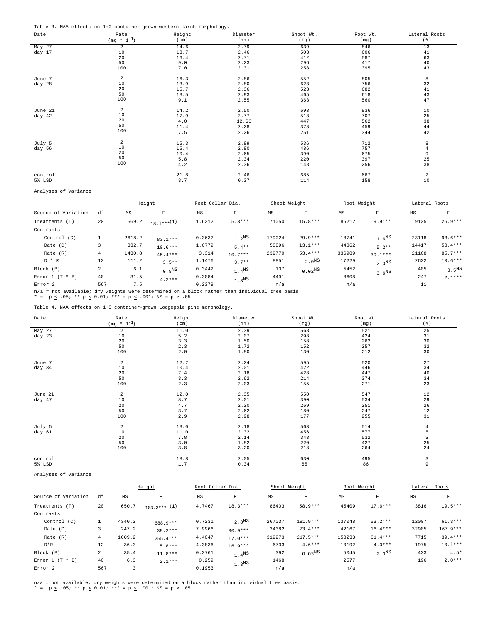Table 3. MAA effects on 1+0 container-grown western larch morphology.

| Date    | Rate            | Height | Diameter | Shoot Wt. | Root Wt. | Lateral Roots  |
|---------|-----------------|--------|----------|-----------|----------|----------------|
|         | $(mg * 1^{-1})$ | (cm)   | (mm)     | (mg)      | (mg)     | $(+ 1)$        |
| May 27  | 2               | 14.6   | 2.79     | 639       | 846      | 13             |
| day 17  | 10              | 13.7   | 2.46     | 503       | 606      | 41             |
|         | 20              | 16.4   | 2.71     | 412       | 587      | 63             |
|         | 50              | 9.0    | 2.23     | 296       | 417      | 40             |
|         | 100             | 7.0    | 2.31     | 258       | 395      | 43             |
| June 7  | 2               | 16.3   | 2.86     | 552       | 805      | 8              |
| day 28  | 10              | 13.9   | 2.80     | 623       | 756      | 32             |
|         | 20              | 15.7   | 2.36     | 523       | 682      | 41             |
|         | 50              | 13.5   | 2.93     | 465       | 618      | 43             |
|         | 100             | 9.1    | 2.55     | 363       | 560      | 47             |
| June 21 | $\overline{a}$  | 14.2   | 2.50     | 693       | 836      | 10             |
| day 42  | $10$            | 17.9   | 2.77     | 518       | 707      | 25             |
|         | 20              | 4.0    | 12.66    | 447       | 562      | 38             |
|         | 50              | 11.4   | 2.28     | 378       | 459      | 44             |
|         | 100             | 7.5    | 2.26     | 251       | 344      | 42             |
| July 5  | 2               | 15.3   | 2.89     | 536       | 712      | 8              |
| day 56  | 10              | 15.4   | 2.80     | 486       | 757      | $\overline{4}$ |
|         | 20              | 10.4   | 2.65     | 390       | 675      | 9              |
|         | 50              | 5.8    | 2.34     | 220       | 397      | 25             |
|         | 100             | 4.2    | 2.36     | 148       | 256      | 38             |
| control |                 | 21.8   | 2.46     | 685       | 667      | $\overline{a}$ |
| 5% LSD  |                 | 3.7    | 0.37     | 114       | 158      | 10             |

Analyses of Variance

|                     |     |                           | Height            | Root Collar Dia.          |                   | Shoot Weight              |                   | Root Weight               |                   | Lateral Roots             |                   |
|---------------------|-----|---------------------------|-------------------|---------------------------|-------------------|---------------------------|-------------------|---------------------------|-------------------|---------------------------|-------------------|
| Source of Variation | ₫f  | $\underline{\mathtt{MS}}$ | E                 | $\underline{\mathsf{MS}}$ | $\mathbb E$       | $\underline{\mathsf{MS}}$ | E                 | $\underline{\mathtt{MS}}$ | E                 | $\underline{\mathsf{MS}}$ | E                 |
| Treatments (T)      | 20  | 569.2                     | $18.1***^{(1)}$   | 1.6212                    | $5.8***$          | 71050                     | $15.8***$         | 85212                     | $9.9***$          | 9125                      | $26.9***$         |
| Contrasts           |     |                           |                   |                           |                   |                           |                   |                           |                   |                           |                   |
| Control (C)         |     | 2618.2                    | $83.1***$         | 0.3632                    | 1.2 <sup>NS</sup> | 179024                    | $29.9***$         | 18741                     | 1.6 <sup>NS</sup> | 23118                     | $93.6***$         |
| Date (D)            | 3   | 332.7                     | $10.6***$         | 1.6779                    | $5.4**$           | 58896                     | $13.1***$         | 44862                     | $5.2**$           | 14417                     | $58.4***$         |
| Rate (R)            | 4   | 1430.8                    | $45.4***$         | 3.314                     | $10.7***$         | 239770                    | $53.4***$         | 336989                    | $39.1***$         | 21168                     | $85.7***$         |
| $D * R$             | 12  | 111.2                     | $3.5**$           | 1.1476                    | $3.7**$           | 8851                      | 2.0 <sup>NS</sup> | 17229                     | 2.0 <sup>NS</sup> | 2622                      | $10.6***$         |
| Block (B)           | 2   | 6.1                       | 0.8 <sup>NS</sup> | 0.3442                    | 1.4 <sup>NS</sup> | 107                       | $0.02^{NS}$       | 5452                      | 0.6 <sup>NS</sup> | 405                       | 3.5 <sup>NS</sup> |
| Error $1$ (T * B)   | 40  | 31.5                      | $4.2***$          | 0.3084                    | 1.3 <sup>NS</sup> | 4491                      |                   | 8608                      |                   | 247                       | $2.1***$          |
| Error <sub>2</sub>  | 567 | 7.5                       |                   | 0.2379                    |                   | n/a                       |                   | n/a                       |                   | 11                        |                   |

n/a = not available; dry weights were determined on a block rather than individual tree basis<br>\* = p < .05; \*\* p < 0.01; \*\*\* = p < .001; NS = p > .05

Table 4. NAA effects on 1+0 container-grown Lodgepole pine morphology.

| Date    | Rate            | Height  | Diameter | Shoot Wt. | Root Wt. | Lateral Roots |
|---------|-----------------|---------|----------|-----------|----------|---------------|
|         | $(mg * 1^{-1})$ | (cm)    | (mm)     | (mg)      | (mg)     | $(+ )$        |
| May 27  | $\overline{a}$  | 11.0    | 2.39     | 568       | 521      | 25            |
| day 23  | $10$            | $5.2\,$ | 2.07     | 298       | 424      | 31            |
|         | 20              | 3.3     | 1.50     | 158       | 262      | 30            |
|         | 50              | 2.3     | 1.72     | 152       | 257      | 32            |
|         | 100             | 2.0     | 1.80     | 130       | 212      | 30            |
| June 7  | $\overline{a}$  | 12.2    | 2.24     | 595       | 520      | 27            |
| day 34  | 10              | $10.4$  | 2.01     | 422       | 446      | 34            |
|         | 20              | 7.4     | 2.18     | 428       | 447      | 40            |
|         | 50              | 3.3     | 2.62     | 214       | 374      | 34            |
|         | 100             | 2.3     | 2.03     | 155       | 271      | 23            |
| June 21 | $\overline{a}$  | 12.0    | 2.35     | 550       | 547      | 12            |
| day 47  | 10              | $8.7\,$ | 2.01     | 390       | 534      | 29            |
|         | 20              | 4.7     | 2.20     | 269       | 251      | 26            |
|         | 50              | 3.7     | 2.62     | 180       | 247      | $1\,2$        |
|         | 100             | 2.9     | 2.98     | 177       | 255      | 31            |
| July 5  | $\overline{a}$  | 13.0    | 2.18     | 563       | 514      | 4             |
| day 61  | 10              | 11.0    | 2.32     | 456       | 577      | 5             |
|         | 20              | 7.8     | 2.14     | 343       | 532      | S             |
|         | 50              | 3.0     | 1.82     | 220       | 427      | 25            |
|         | 100             | 3.8     | 3.20     | 218       | 264      | $2\,4$        |
| control |                 | 18.8    | 2.05     | 630       | 495      | 3             |
| 5% LSD  |                 | $1.7$   | 0.34     | 65        | 86       | 9             |

Analyses of Variance

|                     |     |                           | Height         | Root Collar Dia.          |                   | Shoot Weight              |             | Root Weight               |                   | Lateral Roots |            |
|---------------------|-----|---------------------------|----------------|---------------------------|-------------------|---------------------------|-------------|---------------------------|-------------------|---------------|------------|
| Source of Variation | ₫f  | $\underline{\mathtt{MS}}$ | E              | $\underline{\mathtt{MS}}$ | $\mathbf F$       | $\underline{\mathtt{MS}}$ | Ε           | $\underline{\mathsf{MS}}$ | E                 | MS            | Ε          |
| Treatments (T)      | 20  | 650.7                     | $103.3***$ (1) | 4.7467                    | $18.3***$         | 86403                     | $58.9***$   | 45409                     | $17.6***$         | 3816          | $19.5***$  |
| Contrasts           |     |                           |                |                           |                   |                           |             |                           |                   |               |            |
| Control (C)         | Τ.  | 4340.2                    | 688.9***       | 0.7231                    | 2.8 <sup>NS</sup> | 267037                    | 181.9***    | 137048                    | $53.2***$         | 12007         | $61.3***$  |
| Date (D)            | 3   | 247.2                     | $39.2***$      | 7.9966                    | $30.9***$         | 34382                     | $23.4***$   | 42167                     | $16.4***$         | 32905         | $167.9***$ |
| Rate (R)            | 4   | 1609.2                    | $255.4***$     | 4.4047                    | $17.0***$         | 319273                    | $217.5***$  | 158233                    | $61.4***$         | 7715          | $39.4***$  |
| $D*R$               | 12  | 36.3                      | $5.8***$       | 4.3836                    | $16.9***$         | 6733                      | $4.6***$    | 10192                     | $4.0***$          | 1975          | $10.1***$  |
| Block (B)           | 2   | 35.4                      | $11.8***$      | 0.2761                    | 1.4 <sup>NS</sup> | 392                       | $0.03^{NS}$ | 5045                      | 2.0 <sup>NS</sup> | 433           | $4.5*$     |
| Error $1$ (T * B)   | 40  | 6.3                       | $2.1***$       | 0.259                     | 1.3 <sup>NS</sup> | 1468                      |             | 2577                      |                   | 196           | $2.0***$   |
| Error <sub>2</sub>  | 567 | 3                         |                | 0.1953                    |                   | n/a                       |             | n/a                       |                   |               |            |

n/a = not available; dry weights were determined on a block rather than individual tree basis.<br>\* = p < .05; \*\* p < 0.01; \*\*\* = p < .001; NS = p > .05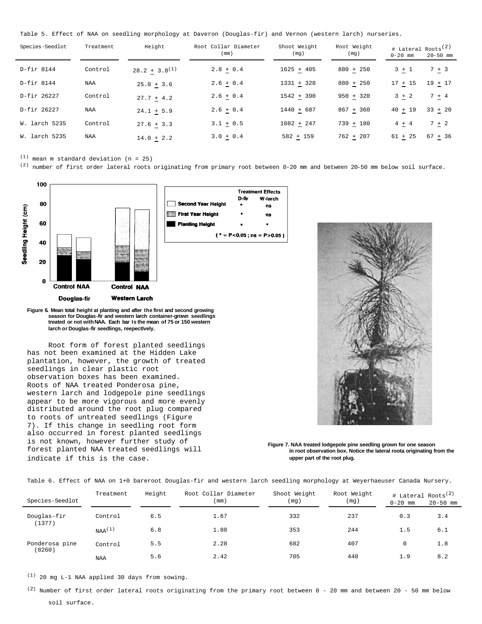Table 5. Effect of NAA on seedling morphology at Daveron (Douglas-fir) and Vernon (western larch) nurseries.

| Species-Seedlot | Treatment | Height             | Root Collar Diameter<br>(mm) | Shoot Weight<br>(mg) | Root Weight<br>(mg) | # Lateral Roots <sup>(2)</sup><br>$0 - 20$ mm | $20 - 50$ mm |
|-----------------|-----------|--------------------|------------------------------|----------------------|---------------------|-----------------------------------------------|--------------|
| D-fir 8144      | Control   | $28.2 + 3.8^{(1)}$ | $2.8 + 0.4$                  | $1625 + 405$         | $880 + 250$         | $3 + 1$                                       | $7 + 3$      |
| D-fir 8144      | NAA       | $25.0 + 3.6$       | $2.6 + 0.4$                  | $1331 + 328$         | $880 + 250$         | $17 + 15$                                     | $19 + 17$    |
| D-fir 26227     | Control   | $27.7 + 4.2$       | $2.6 + 0.4$                  | $1542 + 390$         | $950 + 320$         | $3 + 2$                                       | $7 + 4$      |
| D-fir 26227     | NAA       | $24.1 + 5.9$       | $2.6 + 0.4$                  | 1440 + 687           | $867 + 360$         | $40 + 19$                                     | $33 + 20$    |
| W. larch 5235   | Control   | $27.6 + 3.3$       | $3.1 + 0.5$                  | $1082 + 247$         | $739 + 180$         | $4 + 4$                                       | $7 + 2$      |
| W. larch 5235   | NAA       | $14.0 + 2.2$       | $3.0 + 0.4$                  | $582 + 159$          | $762 + 207$         | $61 + 25$                                     | $67 + 36$    |

 $(1)$  mean m standard deviation (n = 25)

 $(2)$  number of first order lateral roots originating from primary root between 0-20 mm and between 20-50 mm below soil surface.



**Figure 6. Mean total height at planting and after the first and second growing season for Douglas-fir and western larch container-grown seedlings treated or not withNAA. Each bar Is the mean of 75 or 150 western larch or Douglas-fir seedlings, reepectlvely.**

Root form of forest planted seedlings has not been examined at the Hidden Lake plantation, however, the growth of treated seedlings in clear plastic root observation boxes has been examined. Roots of NAA treated Ponderosa pine, western larch and lodgepole pine seedlings appear to be more vigorous and more evenly distributed around the root plug compared to roots of untreated seedlings (Figure 7). If this change in seedling root form also occurred in forest planted seedlings is not known, however further study of forest planted NAA treated seedlings will indicate if this is the case.





**Figure 7. NAA treated lodgepole pine seedling grown for one season in root observation box. Notice the lateral roota originating from the upper part of the root plug.**

Table 6. Effect of NAA on 1+0 bareroot Douglas-fir and western larch seedling morphology at Weyerhaeuser Canada Nursery.

| Species-Seedlot | Treatment   | Height | Root Collar Diameter<br>(mm) | Shoot Weight<br>(mq) | Root Weight<br>(mq) | $0 - 20$ mm | # Lateral Roots <sup>(2)</sup><br>$20 - 50$ mm |
|-----------------|-------------|--------|------------------------------|----------------------|---------------------|-------------|------------------------------------------------|
| Douglas-fir     | Control     | 6.5    | 1.67                         | 332                  | 237                 | 0.3         | 3.4                                            |
| (1377)          | $NAA^{(1)}$ | 6.8    | 1.80                         | 353                  | 244                 | 1.5         | 6.1                                            |
| Ponderosa pine  | Control     | 5.5    | 2.28                         | 682                  | 407                 | $\mathbf 0$ | 1.8                                            |
| (8260)          | <b>NAA</b>  | 5.6    | 2.42                         | 705                  | 440                 | 1.9         | 8.2                                            |

(1) 20 mg L-1 NAA applied 30 days from sowing.

 $(2)$  Number of first order lateral roots originating from the primary root between 0 - 20 mm and between 20 - 50 mm below soil surface.